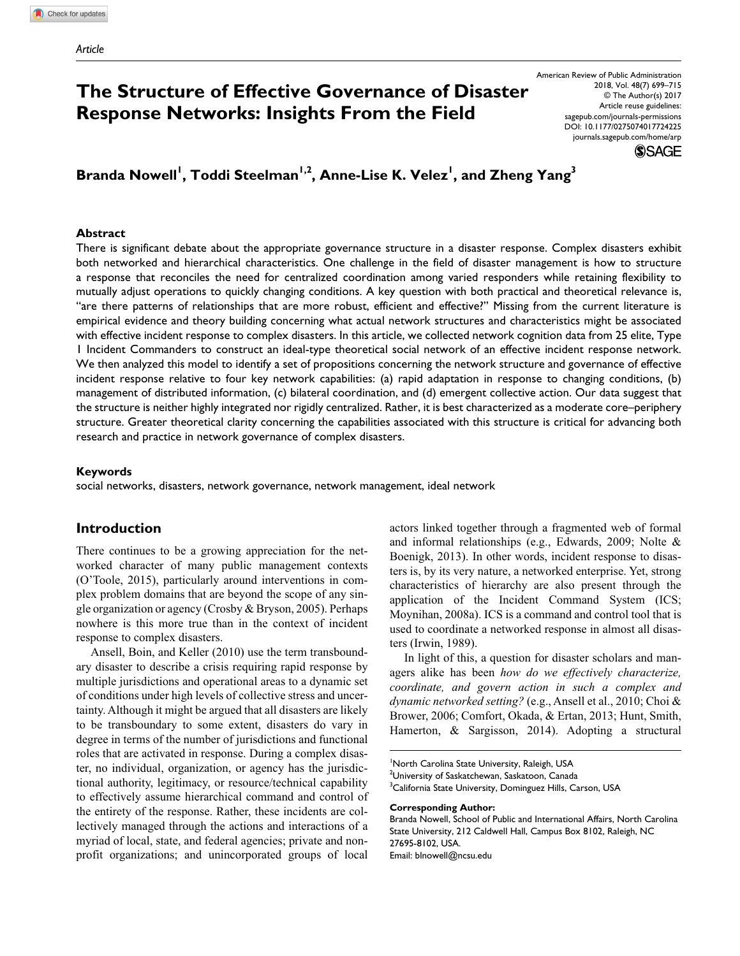# **The Structure of Effective Governance of Disaster Response Networks: Insights From the Field**

DOI: 10.1177/0275074017724225 American Review of Public Administration 2018, Vol. 48(7) 699–715 © The Author(s) 2017 Article reuse guidelines: [sagepub.com/journals-permissions](https://us.sagepub.com/en-us/journals-permissions) [journals.sagepub.com/home/arp](https://journals.sagepub.com/home/arp)



## Branda Nowell<sup>I</sup>, Toddi Steelman<sup>I,2</sup>, Anne-Lise K. Velez<sup>I</sup>, and Zheng Yang<sup>3</sup>

#### **Abstract**

There is significant debate about the appropriate governance structure in a disaster response. Complex disasters exhibit both networked and hierarchical characteristics. One challenge in the field of disaster management is how to structure a response that reconciles the need for centralized coordination among varied responders while retaining flexibility to mutually adjust operations to quickly changing conditions. A key question with both practical and theoretical relevance is, "are there patterns of relationships that are more robust, efficient and effective?" Missing from the current literature is empirical evidence and theory building concerning what actual network structures and characteristics might be associated with effective incident response to complex disasters. In this article, we collected network cognition data from 25 elite, Type 1 Incident Commanders to construct an ideal-type theoretical social network of an effective incident response network. We then analyzed this model to identify a set of propositions concerning the network structure and governance of effective incident response relative to four key network capabilities: (a) rapid adaptation in response to changing conditions, (b) management of distributed information, (c) bilateral coordination, and (d) emergent collective action. Our data suggest that the structure is neither highly integrated nor rigidly centralized. Rather, it is best characterized as a moderate core–periphery structure. Greater theoretical clarity concerning the capabilities associated with this structure is critical for advancing both research and practice in network governance of complex disasters.

#### **Keywords**

social networks, disasters, network governance, network management, ideal network

### **Introduction**

There continues to be a growing appreciation for the networked character of many public management contexts (O'Toole, 2015), particularly around interventions in complex problem domains that are beyond the scope of any single organization or agency (Crosby & Bryson, 2005). Perhaps nowhere is this more true than in the context of incident response to complex disasters.

Ansell, Boin, and Keller (2010) use the term transboundary disaster to describe a crisis requiring rapid response by multiple jurisdictions and operational areas to a dynamic set of conditions under high levels of collective stress and uncertainty. Although it might be argued that all disasters are likely to be transboundary to some extent, disasters do vary in degree in terms of the number of jurisdictions and functional roles that are activated in response. During a complex disaster, no individual, organization, or agency has the jurisdictional authority, legitimacy, or resource/technical capability to effectively assume hierarchical command and control of the entirety of the response. Rather, these incidents are collectively managed through the actions and interactions of a myriad of local, state, and federal agencies; private and nonprofit organizations; and unincorporated groups of local actors linked together through a fragmented web of formal and informal relationships (e.g., Edwards, 2009; Nolte & Boenigk, 2013). In other words, incident response to disasters is, by its very nature, a networked enterprise. Yet, strong characteristics of hierarchy are also present through the application of the Incident Command System (ICS; Moynihan, 2008a). ICS is a command and control tool that is used to coordinate a networked response in almost all disasters (Irwin, 1989).

In light of this, a question for disaster scholars and managers alike has been *how do we effectively characterize, coordinate, and govern action in such a complex and dynamic networked setting?* (e.g., Ansell et al., 2010; Choi & Brower, 2006; Comfort, Okada, & Ertan, 2013; Hunt, Smith, Hamerton, & Sargisson, 2014). Adopting a structural

#### **Corresponding Author:**

Branda Nowell, School of Public and International Affairs, North Carolina State University, 212 Caldwell Hall, Campus Box 8102, Raleigh, NC 27695-8102, USA. Email: [blnowell@ncsu.edu](mailto:blnowell@ncsu.edu)

<sup>&</sup>lt;sup>1</sup>North Carolina State University, Raleigh, USA  $^{\rm 2}$ University of Saskatchewan, Saskatoon, Canada <sup>3</sup>California State University, Dominguez Hills, Carson, USA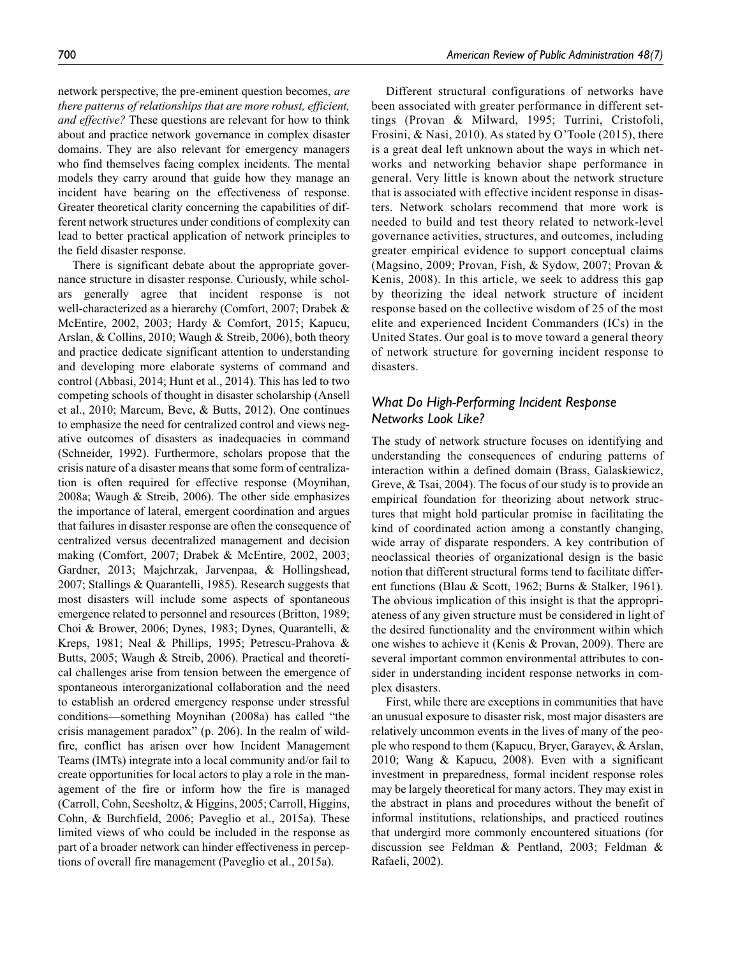network perspective, the pre-eminent question becomes, *are there patterns of relationships that are more robust, efficient, and effective?* These questions are relevant for how to think about and practice network governance in complex disaster domains. They are also relevant for emergency managers who find themselves facing complex incidents. The mental models they carry around that guide how they manage an incident have bearing on the effectiveness of response. Greater theoretical clarity concerning the capabilities of different network structures under conditions of complexity can lead to better practical application of network principles to the field disaster response.

There is significant debate about the appropriate governance structure in disaster response. Curiously, while scholars generally agree that incident response is not well-characterized as a hierarchy (Comfort, 2007; Drabek & McEntire, 2002, 2003; Hardy & Comfort, 2015; Kapucu, Arslan, & Collins, 2010; Waugh & Streib, 2006), both theory and practice dedicate significant attention to understanding and developing more elaborate systems of command and control (Abbasi, 2014; Hunt et al., 2014). This has led to two competing schools of thought in disaster scholarship (Ansell et al., 2010; Marcum, Bevc, & Butts, 2012). One continues to emphasize the need for centralized control and views negative outcomes of disasters as inadequacies in command (Schneider, 1992). Furthermore, scholars propose that the crisis nature of a disaster means that some form of centralization is often required for effective response (Moynihan, 2008a; Waugh & Streib, 2006). The other side emphasizes the importance of lateral, emergent coordination and argues that failures in disaster response are often the consequence of centralized versus decentralized management and decision making (Comfort, 2007; Drabek & McEntire, 2002, 2003; Gardner, 2013; Majchrzak, Jarvenpaa, & Hollingshead, 2007; Stallings & Quarantelli, 1985). Research suggests that most disasters will include some aspects of spontaneous emergence related to personnel and resources (Britton, 1989; Choi & Brower, 2006; Dynes, 1983; Dynes, Quarantelli, & Kreps, 1981; Neal & Phillips, 1995; Petrescu-Prahova & Butts, 2005; Waugh & Streib, 2006). Practical and theoretical challenges arise from tension between the emergence of spontaneous interorganizational collaboration and the need to establish an ordered emergency response under stressful conditions—something Moynihan (2008a) has called "the crisis management paradox" (p. 206). In the realm of wildfire, conflict has arisen over how Incident Management Teams (IMTs) integrate into a local community and/or fail to create opportunities for local actors to play a role in the management of the fire or inform how the fire is managed (Carroll, Cohn, Seesholtz, & Higgins, 2005; Carroll, Higgins, Cohn, & Burchfield, 2006; Paveglio et al., 2015a). These limited views of who could be included in the response as part of a broader network can hinder effectiveness in perceptions of overall fire management (Paveglio et al., 2015a).

Different structural configurations of networks have been associated with greater performance in different settings (Provan & Milward, 1995; Turrini, Cristofoli, Frosini, & Nasi, 2010). As stated by O'Toole (2015), there is a great deal left unknown about the ways in which networks and networking behavior shape performance in general. Very little is known about the network structure that is associated with effective incident response in disasters. Network scholars recommend that more work is needed to build and test theory related to network-level governance activities, structures, and outcomes, including greater empirical evidence to support conceptual claims (Magsino, 2009; Provan, Fish, & Sydow, 2007; Provan & Kenis, 2008). In this article, we seek to address this gap by theorizing the ideal network structure of incident response based on the collective wisdom of 25 of the most elite and experienced Incident Commanders (ICs) in the United States. Our goal is to move toward a general theory of network structure for governing incident response to disasters.

### *What Do High-Performing Incident Response Networks Look Like?*

The study of network structure focuses on identifying and understanding the consequences of enduring patterns of interaction within a defined domain (Brass, Galaskiewicz, Greve, & Tsai, 2004). The focus of our study is to provide an empirical foundation for theorizing about network structures that might hold particular promise in facilitating the kind of coordinated action among a constantly changing, wide array of disparate responders. A key contribution of neoclassical theories of organizational design is the basic notion that different structural forms tend to facilitate different functions (Blau & Scott, 1962; Burns & Stalker, 1961). The obvious implication of this insight is that the appropriateness of any given structure must be considered in light of the desired functionality and the environment within which one wishes to achieve it (Kenis & Provan, 2009). There are several important common environmental attributes to consider in understanding incident response networks in complex disasters.

First, while there are exceptions in communities that have an unusual exposure to disaster risk, most major disasters are relatively uncommon events in the lives of many of the people who respond to them (Kapucu, Bryer, Garayev, & Arslan, 2010; Wang & Kapucu, 2008). Even with a significant investment in preparedness, formal incident response roles may be largely theoretical for many actors. They may exist in the abstract in plans and procedures without the benefit of informal institutions, relationships, and practiced routines that undergird more commonly encountered situations (for discussion see Feldman & Pentland, 2003; Feldman & Rafaeli, 2002).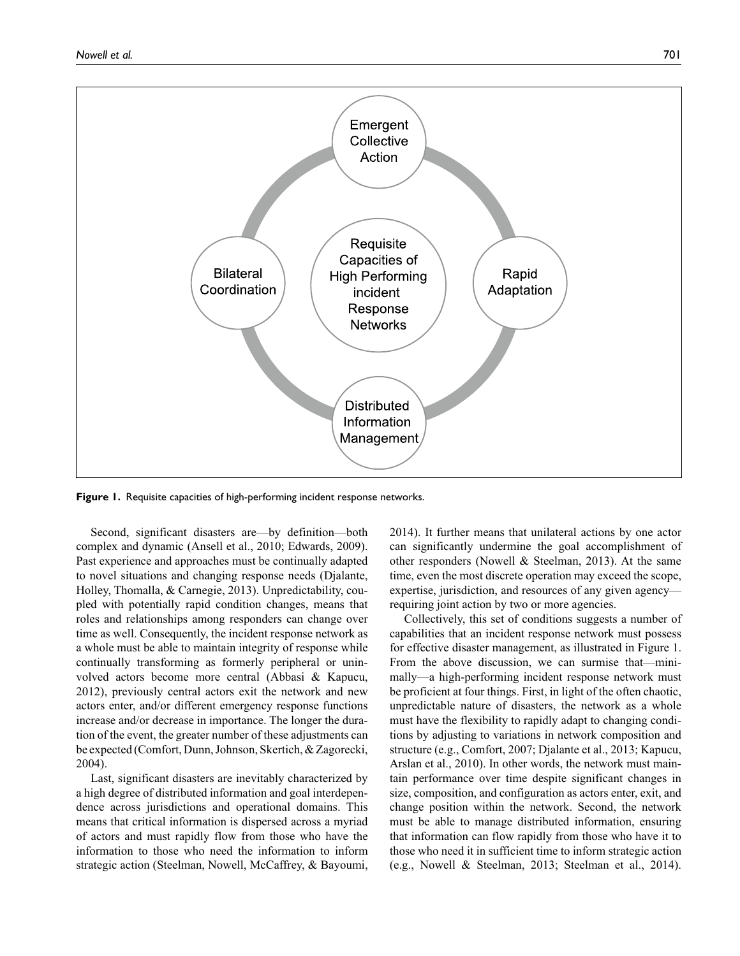

**Figure 1.** Requisite capacities of high-performing incident response networks.

Second, significant disasters are—by definition—both complex and dynamic (Ansell et al., 2010; Edwards, 2009). Past experience and approaches must be continually adapted to novel situations and changing response needs (Djalante, Holley, Thomalla, & Carnegie, 2013). Unpredictability, coupled with potentially rapid condition changes, means that roles and relationships among responders can change over time as well. Consequently, the incident response network as a whole must be able to maintain integrity of response while continually transforming as formerly peripheral or uninvolved actors become more central (Abbasi & Kapucu, 2012), previously central actors exit the network and new actors enter, and/or different emergency response functions increase and/or decrease in importance. The longer the duration of the event, the greater number of these adjustments can be expected (Comfort, Dunn, Johnson, Skertich, & Zagorecki, 2004).

Last, significant disasters are inevitably characterized by a high degree of distributed information and goal interdependence across jurisdictions and operational domains. This means that critical information is dispersed across a myriad of actors and must rapidly flow from those who have the information to those who need the information to inform strategic action (Steelman, Nowell, McCaffrey, & Bayoumi,

2014). It further means that unilateral actions by one actor can significantly undermine the goal accomplishment of other responders (Nowell & Steelman, 2013). At the same time, even the most discrete operation may exceed the scope, expertise, jurisdiction, and resources of any given agency requiring joint action by two or more agencies.

Collectively, this set of conditions suggests a number of capabilities that an incident response network must possess for effective disaster management, as illustrated in Figure 1. From the above discussion, we can surmise that—minimally—a high-performing incident response network must be proficient at four things. First, in light of the often chaotic, unpredictable nature of disasters, the network as a whole must have the flexibility to rapidly adapt to changing conditions by adjusting to variations in network composition and structure (e.g., Comfort, 2007; Djalante et al., 2013; Kapucu, Arslan et al., 2010). In other words, the network must maintain performance over time despite significant changes in size, composition, and configuration as actors enter, exit, and change position within the network. Second, the network must be able to manage distributed information, ensuring that information can flow rapidly from those who have it to those who need it in sufficient time to inform strategic action (e.g., Nowell & Steelman, 2013; Steelman et al., 2014).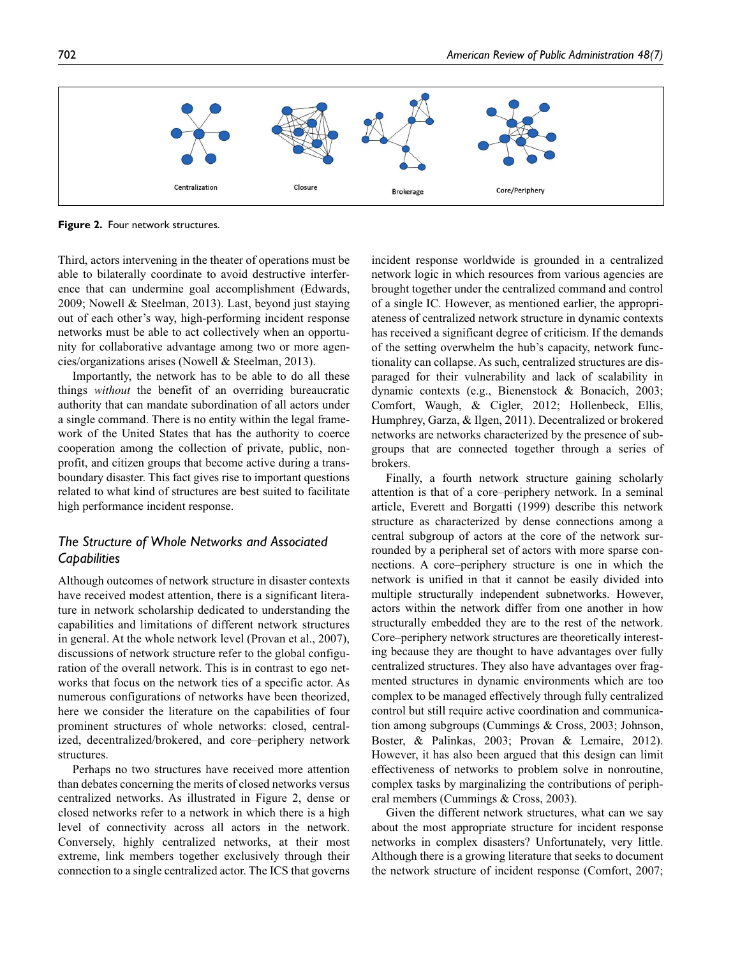

**Figure 2.** Four network structures.

Third, actors intervening in the theater of operations must be able to bilaterally coordinate to avoid destructive interference that can undermine goal accomplishment (Edwards, 2009; Nowell & Steelman, 2013). Last, beyond just staying out of each other's way, high-performing incident response networks must be able to act collectively when an opportunity for collaborative advantage among two or more agencies/organizations arises (Nowell & Steelman, 2013).

Importantly, the network has to be able to do all these things *without* the benefit of an overriding bureaucratic authority that can mandate subordination of all actors under a single command. There is no entity within the legal framework of the United States that has the authority to coerce cooperation among the collection of private, public, nonprofit, and citizen groups that become active during a transboundary disaster. This fact gives rise to important questions related to what kind of structures are best suited to facilitate high performance incident response.

### *The Structure of Whole Networks and Associated Capabilities*

Although outcomes of network structure in disaster contexts have received modest attention, there is a significant literature in network scholarship dedicated to understanding the capabilities and limitations of different network structures in general. At the whole network level (Provan et al., 2007), discussions of network structure refer to the global configuration of the overall network. This is in contrast to ego networks that focus on the network ties of a specific actor. As numerous configurations of networks have been theorized, here we consider the literature on the capabilities of four prominent structures of whole networks: closed, centralized, decentralized/brokered, and core–periphery network structures.

Perhaps no two structures have received more attention than debates concerning the merits of closed networks versus centralized networks. As illustrated in Figure 2, dense or closed networks refer to a network in which there is a high level of connectivity across all actors in the network. Conversely, highly centralized networks, at their most extreme, link members together exclusively through their connection to a single centralized actor. The ICS that governs

incident response worldwide is grounded in a centralized network logic in which resources from various agencies are brought together under the centralized command and control of a single IC. However, as mentioned earlier, the appropriateness of centralized network structure in dynamic contexts has received a significant degree of criticism. If the demands of the setting overwhelm the hub's capacity, network functionality can collapse. As such, centralized structures are disparaged for their vulnerability and lack of scalability in dynamic contexts (e.g., Bienenstock & Bonacich, 2003; Comfort, Waugh, & Cigler, 2012; Hollenbeck, Ellis, Humphrey, Garza, & Ilgen, 2011). Decentralized or brokered networks are networks characterized by the presence of subgroups that are connected together through a series of brokers.

Finally, a fourth network structure gaining scholarly attention is that of a core–periphery network. In a seminal article, Everett and Borgatti (1999) describe this network structure as characterized by dense connections among a central subgroup of actors at the core of the network surrounded by a peripheral set of actors with more sparse connections. A core–periphery structure is one in which the network is unified in that it cannot be easily divided into multiple structurally independent subnetworks. However, actors within the network differ from one another in how structurally embedded they are to the rest of the network. Core–periphery network structures are theoretically interesting because they are thought to have advantages over fully centralized structures. They also have advantages over fragmented structures in dynamic environments which are too complex to be managed effectively through fully centralized control but still require active coordination and communication among subgroups (Cummings & Cross, 2003; Johnson, Boster, & Palinkas, 2003; Provan & Lemaire, 2012). However, it has also been argued that this design can limit effectiveness of networks to problem solve in nonroutine, complex tasks by marginalizing the contributions of peripheral members (Cummings & Cross, 2003).

Given the different network structures, what can we say about the most appropriate structure for incident response networks in complex disasters? Unfortunately, very little. Although there is a growing literature that seeks to document the network structure of incident response (Comfort, 2007;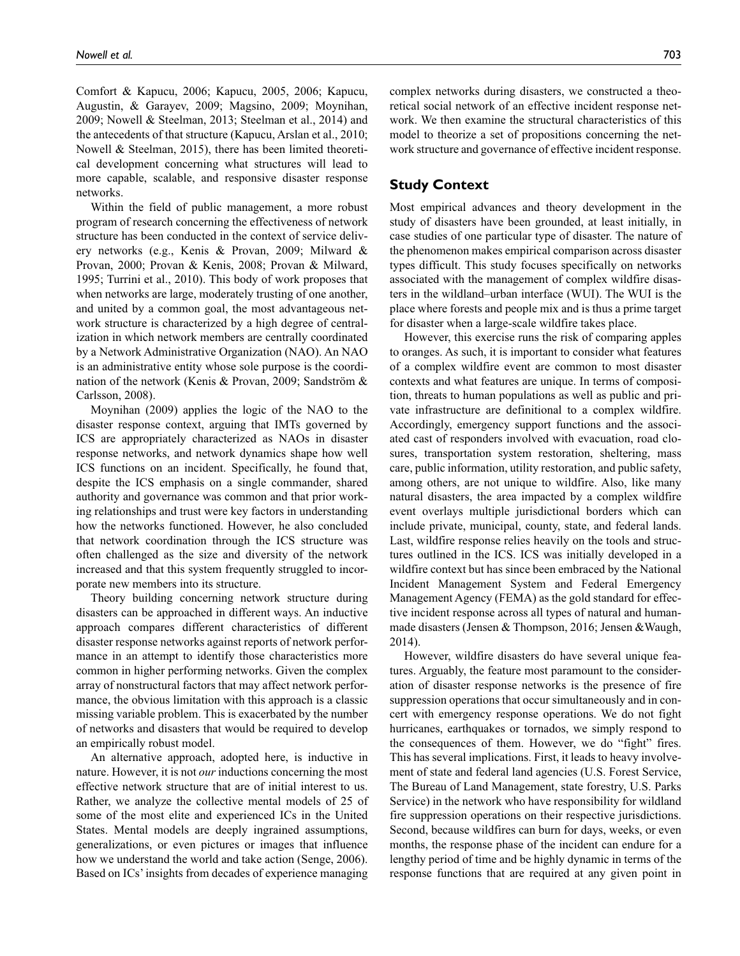Comfort & Kapucu, 2006; Kapucu, 2005, 2006; Kapucu, Augustin, & Garayev, 2009; Magsino, 2009; Moynihan, 2009; Nowell & Steelman, 2013; Steelman et al., 2014) and the antecedents of that structure (Kapucu, Arslan et al., 2010; Nowell & Steelman, 2015), there has been limited theoretical development concerning what structures will lead to more capable, scalable, and responsive disaster response networks.

Within the field of public management, a more robust program of research concerning the effectiveness of network structure has been conducted in the context of service delivery networks (e.g., Kenis & Provan, 2009; Milward & Provan, 2000; Provan & Kenis, 2008; Provan & Milward, 1995; Turrini et al., 2010). This body of work proposes that when networks are large, moderately trusting of one another, and united by a common goal, the most advantageous network structure is characterized by a high degree of centralization in which network members are centrally coordinated by a Network Administrative Organization (NAO). An NAO is an administrative entity whose sole purpose is the coordination of the network (Kenis & Provan, 2009; Sandström & Carlsson, 2008).

Moynihan (2009) applies the logic of the NAO to the disaster response context, arguing that IMTs governed by ICS are appropriately characterized as NAOs in disaster response networks, and network dynamics shape how well ICS functions on an incident. Specifically, he found that, despite the ICS emphasis on a single commander, shared authority and governance was common and that prior working relationships and trust were key factors in understanding how the networks functioned. However, he also concluded that network coordination through the ICS structure was often challenged as the size and diversity of the network increased and that this system frequently struggled to incorporate new members into its structure.

Theory building concerning network structure during disasters can be approached in different ways. An inductive approach compares different characteristics of different disaster response networks against reports of network performance in an attempt to identify those characteristics more common in higher performing networks. Given the complex array of nonstructural factors that may affect network performance, the obvious limitation with this approach is a classic missing variable problem. This is exacerbated by the number of networks and disasters that would be required to develop an empirically robust model.

An alternative approach, adopted here, is inductive in nature. However, it is not *our* inductions concerning the most effective network structure that are of initial interest to us. Rather, we analyze the collective mental models of 25 of some of the most elite and experienced ICs in the United States. Mental models are deeply ingrained assumptions, generalizations, or even pictures or images that influence how we understand the world and take action (Senge, 2006). Based on ICs' insights from decades of experience managing

complex networks during disasters, we constructed a theoretical social network of an effective incident response network. We then examine the structural characteristics of this model to theorize a set of propositions concerning the network structure and governance of effective incident response.

### **Study Context**

Most empirical advances and theory development in the study of disasters have been grounded, at least initially, in case studies of one particular type of disaster. The nature of the phenomenon makes empirical comparison across disaster types difficult. This study focuses specifically on networks associated with the management of complex wildfire disasters in the wildland–urban interface (WUI). The WUI is the place where forests and people mix and is thus a prime target for disaster when a large-scale wildfire takes place.

However, this exercise runs the risk of comparing apples to oranges. As such, it is important to consider what features of a complex wildfire event are common to most disaster contexts and what features are unique. In terms of composition, threats to human populations as well as public and private infrastructure are definitional to a complex wildfire. Accordingly, emergency support functions and the associated cast of responders involved with evacuation, road closures, transportation system restoration, sheltering, mass care, public information, utility restoration, and public safety, among others, are not unique to wildfire. Also, like many natural disasters, the area impacted by a complex wildfire event overlays multiple jurisdictional borders which can include private, municipal, county, state, and federal lands. Last, wildfire response relies heavily on the tools and structures outlined in the ICS. ICS was initially developed in a wildfire context but has since been embraced by the National Incident Management System and Federal Emergency Management Agency (FEMA) as the gold standard for effective incident response across all types of natural and humanmade disasters (Jensen & Thompson, 2016; Jensen &Waugh, 2014).

However, wildfire disasters do have several unique features. Arguably, the feature most paramount to the consideration of disaster response networks is the presence of fire suppression operations that occur simultaneously and in concert with emergency response operations. We do not fight hurricanes, earthquakes or tornados, we simply respond to the consequences of them. However, we do "fight" fires. This has several implications. First, it leads to heavy involvement of state and federal land agencies (U.S. Forest Service, The Bureau of Land Management, state forestry, U.S. Parks Service) in the network who have responsibility for wildland fire suppression operations on their respective jurisdictions. Second, because wildfires can burn for days, weeks, or even months, the response phase of the incident can endure for a lengthy period of time and be highly dynamic in terms of the response functions that are required at any given point in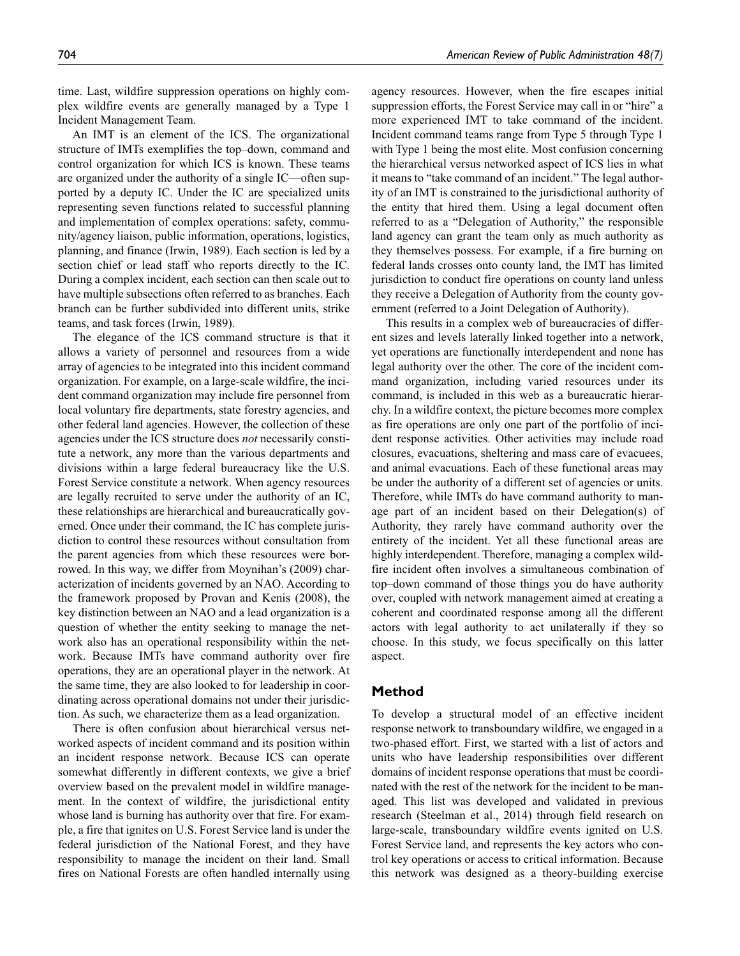time. Last, wildfire suppression operations on highly complex wildfire events are generally managed by a Type 1 Incident Management Team.

An IMT is an element of the ICS. The organizational structure of IMTs exemplifies the top–down, command and control organization for which ICS is known. These teams are organized under the authority of a single IC—often supported by a deputy IC. Under the IC are specialized units representing seven functions related to successful planning and implementation of complex operations: safety, community/agency liaison, public information, operations, logistics, planning, and finance (Irwin, 1989). Each section is led by a section chief or lead staff who reports directly to the IC. During a complex incident, each section can then scale out to have multiple subsections often referred to as branches. Each branch can be further subdivided into different units, strike teams, and task forces (Irwin, 1989).

The elegance of the ICS command structure is that it allows a variety of personnel and resources from a wide array of agencies to be integrated into this incident command organization. For example, on a large-scale wildfire, the incident command organization may include fire personnel from local voluntary fire departments, state forestry agencies, and other federal land agencies. However, the collection of these agencies under the ICS structure does *not* necessarily constitute a network, any more than the various departments and divisions within a large federal bureaucracy like the U.S. Forest Service constitute a network. When agency resources are legally recruited to serve under the authority of an IC, these relationships are hierarchical and bureaucratically governed. Once under their command, the IC has complete jurisdiction to control these resources without consultation from the parent agencies from which these resources were borrowed. In this way, we differ from Moynihan's (2009) characterization of incidents governed by an NAO. According to the framework proposed by Provan and Kenis (2008), the key distinction between an NAO and a lead organization is a question of whether the entity seeking to manage the network also has an operational responsibility within the network. Because IMTs have command authority over fire operations, they are an operational player in the network. At the same time, they are also looked to for leadership in coordinating across operational domains not under their jurisdiction. As such, we characterize them as a lead organization.

There is often confusion about hierarchical versus networked aspects of incident command and its position within an incident response network. Because ICS can operate somewhat differently in different contexts, we give a brief overview based on the prevalent model in wildfire management. In the context of wildfire, the jurisdictional entity whose land is burning has authority over that fire. For example, a fire that ignites on U.S. Forest Service land is under the federal jurisdiction of the National Forest, and they have responsibility to manage the incident on their land. Small fires on National Forests are often handled internally using

agency resources. However, when the fire escapes initial suppression efforts, the Forest Service may call in or "hire" a more experienced IMT to take command of the incident. Incident command teams range from Type 5 through Type 1 with Type 1 being the most elite. Most confusion concerning the hierarchical versus networked aspect of ICS lies in what it means to "take command of an incident." The legal authority of an IMT is constrained to the jurisdictional authority of the entity that hired them. Using a legal document often referred to as a "Delegation of Authority," the responsible land agency can grant the team only as much authority as they themselves possess. For example, if a fire burning on federal lands crosses onto county land, the IMT has limited jurisdiction to conduct fire operations on county land unless they receive a Delegation of Authority from the county government (referred to a Joint Delegation of Authority).

This results in a complex web of bureaucracies of different sizes and levels laterally linked together into a network, yet operations are functionally interdependent and none has legal authority over the other. The core of the incident command organization, including varied resources under its command, is included in this web as a bureaucratic hierarchy. In a wildfire context, the picture becomes more complex as fire operations are only one part of the portfolio of incident response activities. Other activities may include road closures, evacuations, sheltering and mass care of evacuees, and animal evacuations. Each of these functional areas may be under the authority of a different set of agencies or units. Therefore, while IMTs do have command authority to manage part of an incident based on their Delegation(s) of Authority, they rarely have command authority over the entirety of the incident. Yet all these functional areas are highly interdependent. Therefore, managing a complex wildfire incident often involves a simultaneous combination of top–down command of those things you do have authority over, coupled with network management aimed at creating a coherent and coordinated response among all the different actors with legal authority to act unilaterally if they so choose. In this study, we focus specifically on this latter aspect.

### **Method**

To develop a structural model of an effective incident response network to transboundary wildfire, we engaged in a two-phased effort. First, we started with a list of actors and units who have leadership responsibilities over different domains of incident response operations that must be coordinated with the rest of the network for the incident to be managed. This list was developed and validated in previous research (Steelman et al., 2014) through field research on large-scale, transboundary wildfire events ignited on U.S. Forest Service land, and represents the key actors who control key operations or access to critical information. Because this network was designed as a theory-building exercise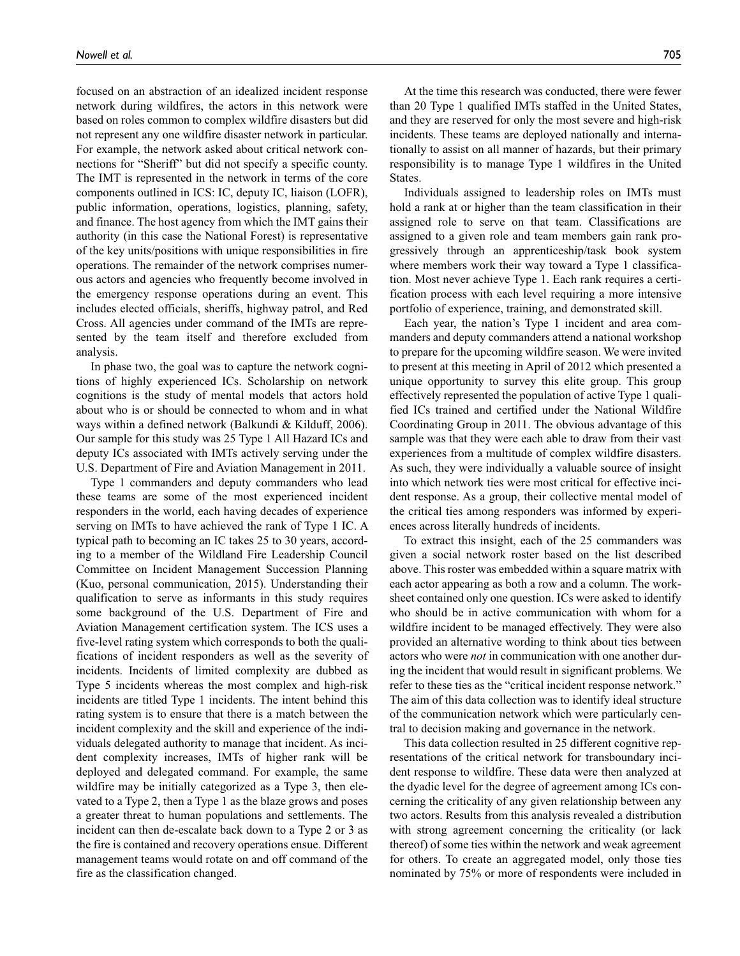focused on an abstraction of an idealized incident response network during wildfires, the actors in this network were based on roles common to complex wildfire disasters but did not represent any one wildfire disaster network in particular. For example, the network asked about critical network connections for "Sheriff" but did not specify a specific county. The IMT is represented in the network in terms of the core components outlined in ICS: IC, deputy IC, liaison (LOFR), public information, operations, logistics, planning, safety, and finance. The host agency from which the IMT gains their authority (in this case the National Forest) is representative of the key units/positions with unique responsibilities in fire operations. The remainder of the network comprises numerous actors and agencies who frequently become involved in the emergency response operations during an event. This includes elected officials, sheriffs, highway patrol, and Red Cross. All agencies under command of the IMTs are represented by the team itself and therefore excluded from analysis.

In phase two, the goal was to capture the network cognitions of highly experienced ICs. Scholarship on network cognitions is the study of mental models that actors hold about who is or should be connected to whom and in what ways within a defined network (Balkundi & Kilduff, 2006). Our sample for this study was 25 Type 1 All Hazard ICs and deputy ICs associated with IMTs actively serving under the U.S. Department of Fire and Aviation Management in 2011.

Type 1 commanders and deputy commanders who lead these teams are some of the most experienced incident responders in the world, each having decades of experience serving on IMTs to have achieved the rank of Type 1 IC. A typical path to becoming an IC takes 25 to 30 years, according to a member of the Wildland Fire Leadership Council Committee on Incident Management Succession Planning (Kuo, personal communication, 2015). Understanding their qualification to serve as informants in this study requires some background of the U.S. Department of Fire and Aviation Management certification system. The ICS uses a five-level rating system which corresponds to both the qualifications of incident responders as well as the severity of incidents. Incidents of limited complexity are dubbed as Type 5 incidents whereas the most complex and high-risk incidents are titled Type 1 incidents. The intent behind this rating system is to ensure that there is a match between the incident complexity and the skill and experience of the individuals delegated authority to manage that incident. As incident complexity increases, IMTs of higher rank will be deployed and delegated command. For example, the same wildfire may be initially categorized as a Type 3, then elevated to a Type 2, then a Type 1 as the blaze grows and poses a greater threat to human populations and settlements. The incident can then de-escalate back down to a Type 2 or 3 as the fire is contained and recovery operations ensue. Different management teams would rotate on and off command of the fire as the classification changed.

At the time this research was conducted, there were fewer than 20 Type 1 qualified IMTs staffed in the United States, and they are reserved for only the most severe and high-risk incidents. These teams are deployed nationally and internationally to assist on all manner of hazards, but their primary responsibility is to manage Type 1 wildfires in the United States.

Individuals assigned to leadership roles on IMTs must hold a rank at or higher than the team classification in their assigned role to serve on that team. Classifications are assigned to a given role and team members gain rank progressively through an apprenticeship/task book system where members work their way toward a Type 1 classification. Most never achieve Type 1. Each rank requires a certification process with each level requiring a more intensive portfolio of experience, training, and demonstrated skill.

Each year, the nation's Type 1 incident and area commanders and deputy commanders attend a national workshop to prepare for the upcoming wildfire season. We were invited to present at this meeting in April of 2012 which presented a unique opportunity to survey this elite group. This group effectively represented the population of active Type 1 qualified ICs trained and certified under the National Wildfire Coordinating Group in 2011. The obvious advantage of this sample was that they were each able to draw from their vast experiences from a multitude of complex wildfire disasters. As such, they were individually a valuable source of insight into which network ties were most critical for effective incident response. As a group, their collective mental model of the critical ties among responders was informed by experiences across literally hundreds of incidents.

To extract this insight, each of the 25 commanders was given a social network roster based on the list described above. This roster was embedded within a square matrix with each actor appearing as both a row and a column. The worksheet contained only one question. ICs were asked to identify who should be in active communication with whom for a wildfire incident to be managed effectively. They were also provided an alternative wording to think about ties between actors who were *not* in communication with one another during the incident that would result in significant problems. We refer to these ties as the "critical incident response network." The aim of this data collection was to identify ideal structure of the communication network which were particularly central to decision making and governance in the network.

This data collection resulted in 25 different cognitive representations of the critical network for transboundary incident response to wildfire. These data were then analyzed at the dyadic level for the degree of agreement among ICs concerning the criticality of any given relationship between any two actors. Results from this analysis revealed a distribution with strong agreement concerning the criticality (or lack thereof) of some ties within the network and weak agreement for others. To create an aggregated model, only those ties nominated by 75% or more of respondents were included in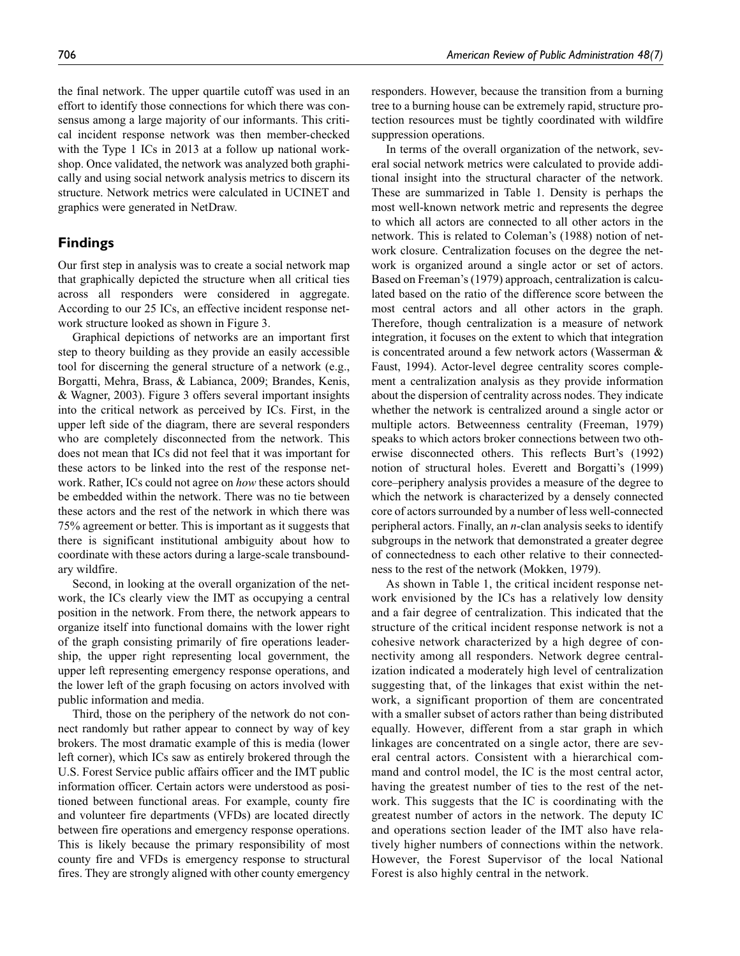the final network. The upper quartile cutoff was used in an effort to identify those connections for which there was consensus among a large majority of our informants. This critical incident response network was then member-checked with the Type 1 ICs in 2013 at a follow up national workshop. Once validated, the network was analyzed both graphically and using social network analysis metrics to discern its structure. Network metrics were calculated in UCINET and graphics were generated in NetDraw.

### **Findings**

Our first step in analysis was to create a social network map that graphically depicted the structure when all critical ties across all responders were considered in aggregate. According to our 25 ICs, an effective incident response network structure looked as shown in Figure 3.

Graphical depictions of networks are an important first step to theory building as they provide an easily accessible tool for discerning the general structure of a network (e.g., Borgatti, Mehra, Brass, & Labianca, 2009; Brandes, Kenis, & Wagner, 2003). Figure 3 offers several important insights into the critical network as perceived by ICs. First, in the upper left side of the diagram, there are several responders who are completely disconnected from the network. This does not mean that ICs did not feel that it was important for these actors to be linked into the rest of the response network. Rather, ICs could not agree on *how* these actors should be embedded within the network. There was no tie between these actors and the rest of the network in which there was 75% agreement or better. This is important as it suggests that there is significant institutional ambiguity about how to coordinate with these actors during a large-scale transboundary wildfire.

Second, in looking at the overall organization of the network, the ICs clearly view the IMT as occupying a central position in the network. From there, the network appears to organize itself into functional domains with the lower right of the graph consisting primarily of fire operations leadership, the upper right representing local government, the upper left representing emergency response operations, and the lower left of the graph focusing on actors involved with public information and media.

Third, those on the periphery of the network do not connect randomly but rather appear to connect by way of key brokers. The most dramatic example of this is media (lower left corner), which ICs saw as entirely brokered through the U.S. Forest Service public affairs officer and the IMT public information officer. Certain actors were understood as positioned between functional areas. For example, county fire and volunteer fire departments (VFDs) are located directly between fire operations and emergency response operations. This is likely because the primary responsibility of most county fire and VFDs is emergency response to structural fires. They are strongly aligned with other county emergency

responders. However, because the transition from a burning tree to a burning house can be extremely rapid, structure protection resources must be tightly coordinated with wildfire suppression operations.

In terms of the overall organization of the network, several social network metrics were calculated to provide additional insight into the structural character of the network. These are summarized in Table 1. Density is perhaps the most well-known network metric and represents the degree to which all actors are connected to all other actors in the network. This is related to Coleman's (1988) notion of network closure. Centralization focuses on the degree the network is organized around a single actor or set of actors. Based on Freeman's (1979) approach, centralization is calculated based on the ratio of the difference score between the most central actors and all other actors in the graph. Therefore, though centralization is a measure of network integration, it focuses on the extent to which that integration is concentrated around a few network actors (Wasserman & Faust, 1994). Actor-level degree centrality scores complement a centralization analysis as they provide information about the dispersion of centrality across nodes. They indicate whether the network is centralized around a single actor or multiple actors. Betweenness centrality (Freeman, 1979) speaks to which actors broker connections between two otherwise disconnected others. This reflects Burt's (1992) notion of structural holes. Everett and Borgatti's (1999) core–periphery analysis provides a measure of the degree to which the network is characterized by a densely connected core of actors surrounded by a number of less well-connected peripheral actors. Finally, an *n*-clan analysis seeks to identify subgroups in the network that demonstrated a greater degree of connectedness to each other relative to their connectedness to the rest of the network (Mokken, 1979).

As shown in Table 1, the critical incident response network envisioned by the ICs has a relatively low density and a fair degree of centralization. This indicated that the structure of the critical incident response network is not a cohesive network characterized by a high degree of connectivity among all responders. Network degree centralization indicated a moderately high level of centralization suggesting that, of the linkages that exist within the network, a significant proportion of them are concentrated with a smaller subset of actors rather than being distributed equally. However, different from a star graph in which linkages are concentrated on a single actor, there are several central actors. Consistent with a hierarchical command and control model, the IC is the most central actor, having the greatest number of ties to the rest of the network. This suggests that the IC is coordinating with the greatest number of actors in the network. The deputy IC and operations section leader of the IMT also have relatively higher numbers of connections within the network. However, the Forest Supervisor of the local National Forest is also highly central in the network.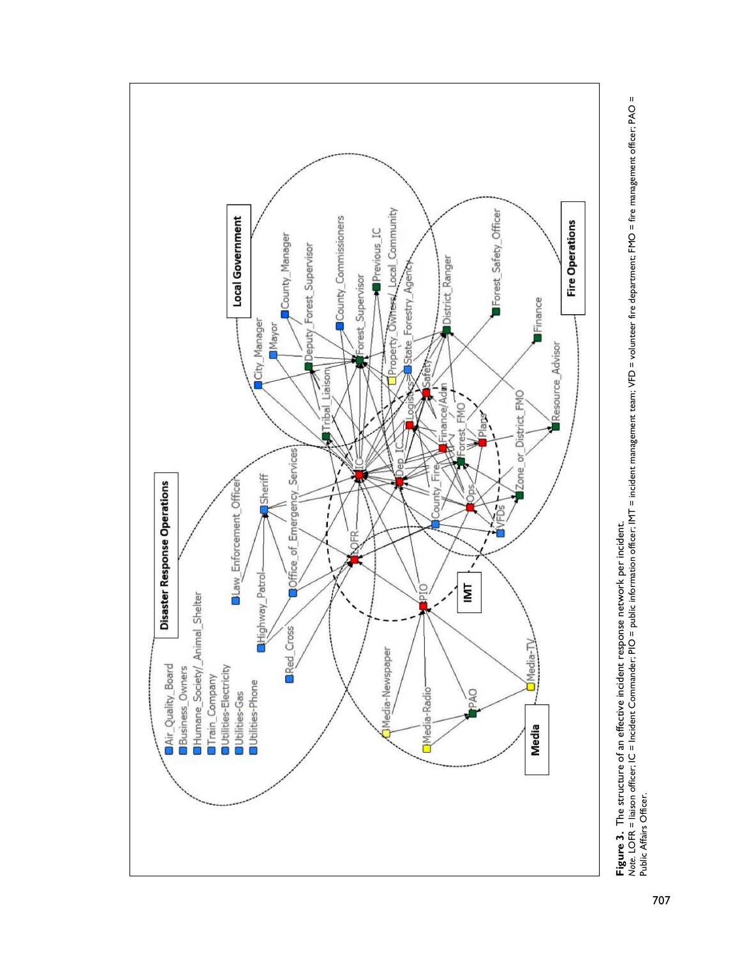

**Figure 3.** The structure of an effective incident response network per incident.

**Figure 3.** The structure of an effective incident response network per incident.<br>Note. LOFR = liaison officer; IC = Incident Commander; PIO = public information officer; IMT = incident management team; VFD = volunteer fir *Note.* LOFR = liaison officer; IC = Incident Commander; PIO = public information officer; IMT = incident management team; VFD = volunteer fire department; FMO = fire management officer; PAO = Public Affairs Officer. Public Affairs Officer.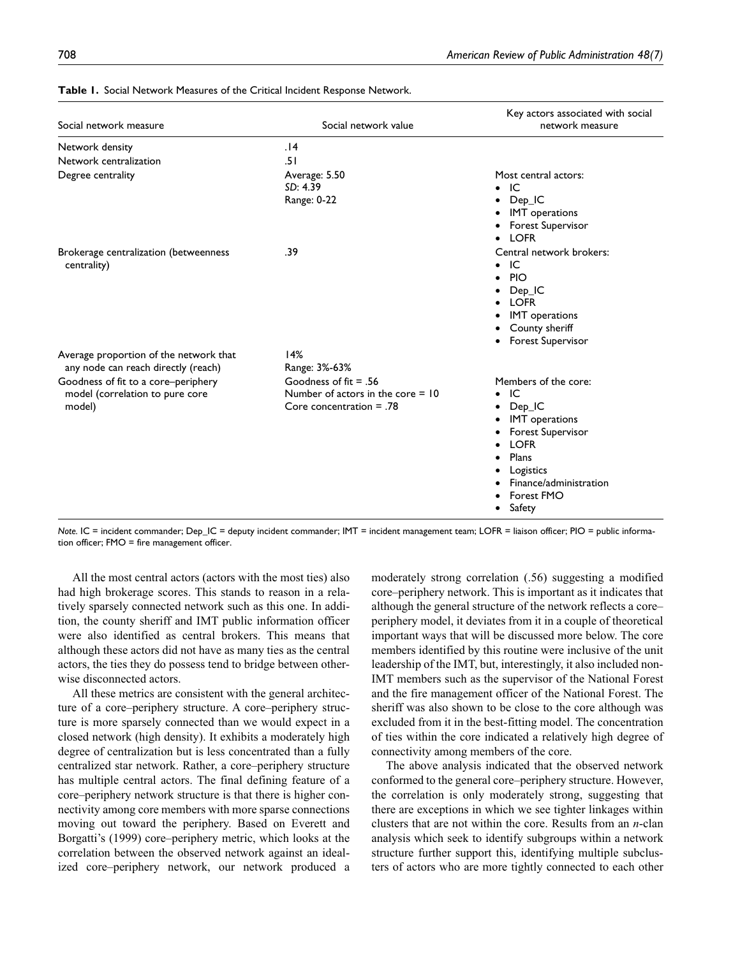| Social network measure                                                           | Social network value                                                                         | Key actors associated with social<br>network measure                                                                                                                                                         |
|----------------------------------------------------------------------------------|----------------------------------------------------------------------------------------------|--------------------------------------------------------------------------------------------------------------------------------------------------------------------------------------------------------------|
| Network density                                                                  | 14.                                                                                          |                                                                                                                                                                                                              |
| Network centralization                                                           | .51                                                                                          |                                                                                                                                                                                                              |
| Degree centrality                                                                | Average: 5.50<br>SD: 4.39<br>Range: 0-22                                                     | Most central actors:<br>$\bullet$ IC<br>Dep_IC<br>IMT operations<br><b>Forest Supervisor</b><br>٠<br>$\bullet$ LOFR                                                                                          |
| Brokerage centralization (betweenness<br>centrality)                             | .39                                                                                          | Central network brokers:<br>$\bullet$ IC<br>$\bullet$ PIO<br>Dep_IC<br><b>LOFR</b><br>IMT operations<br>County sheriff<br><b>Forest Supervisor</b><br>٠                                                      |
| Average proportion of the network that<br>any node can reach directly (reach)    | 14%<br>Range: 3%-63%                                                                         |                                                                                                                                                                                                              |
| Goodness of fit to a core-periphery<br>model (correlation to pure core<br>model) | Goodness of $fit = .56$<br>Number of actors in the core $= 10$<br>Core concentration $= .78$ | Members of the core:<br>- IC<br>$Dep$ IC<br>$\bullet$<br>IMT operations<br><b>Forest Supervisor</b><br><b>LOFR</b><br>Plans<br>$\bullet$<br>Logistics<br>Finance/administration<br>Forest FMO<br>Safety<br>٠ |

**Table 1.** Social Network Measures of the Critical Incident Response Network.

*Note.* IC = incident commander; Dep\_IC = deputy incident commander; IMT = incident management team; LOFR = liaison officer; PIO = public information officer; FMO = fire management officer.

All the most central actors (actors with the most ties) also had high brokerage scores. This stands to reason in a relatively sparsely connected network such as this one. In addition, the county sheriff and IMT public information officer were also identified as central brokers. This means that although these actors did not have as many ties as the central actors, the ties they do possess tend to bridge between otherwise disconnected actors.

All these metrics are consistent with the general architecture of a core–periphery structure. A core–periphery structure is more sparsely connected than we would expect in a closed network (high density). It exhibits a moderately high degree of centralization but is less concentrated than a fully centralized star network. Rather, a core–periphery structure has multiple central actors. The final defining feature of a core–periphery network structure is that there is higher connectivity among core members with more sparse connections moving out toward the periphery. Based on Everett and Borgatti's (1999) core–periphery metric, which looks at the correlation between the observed network against an idealized core–periphery network, our network produced a

moderately strong correlation (.56) suggesting a modified core–periphery network. This is important as it indicates that although the general structure of the network reflects a core– periphery model, it deviates from it in a couple of theoretical important ways that will be discussed more below. The core members identified by this routine were inclusive of the unit leadership of the IMT, but, interestingly, it also included non-IMT members such as the supervisor of the National Forest and the fire management officer of the National Forest. The sheriff was also shown to be close to the core although was excluded from it in the best-fitting model. The concentration of ties within the core indicated a relatively high degree of connectivity among members of the core.

The above analysis indicated that the observed network conformed to the general core–periphery structure. However, the correlation is only moderately strong, suggesting that there are exceptions in which we see tighter linkages within clusters that are not within the core. Results from an *n*-clan analysis which seek to identify subgroups within a network structure further support this, identifying multiple subclusters of actors who are more tightly connected to each other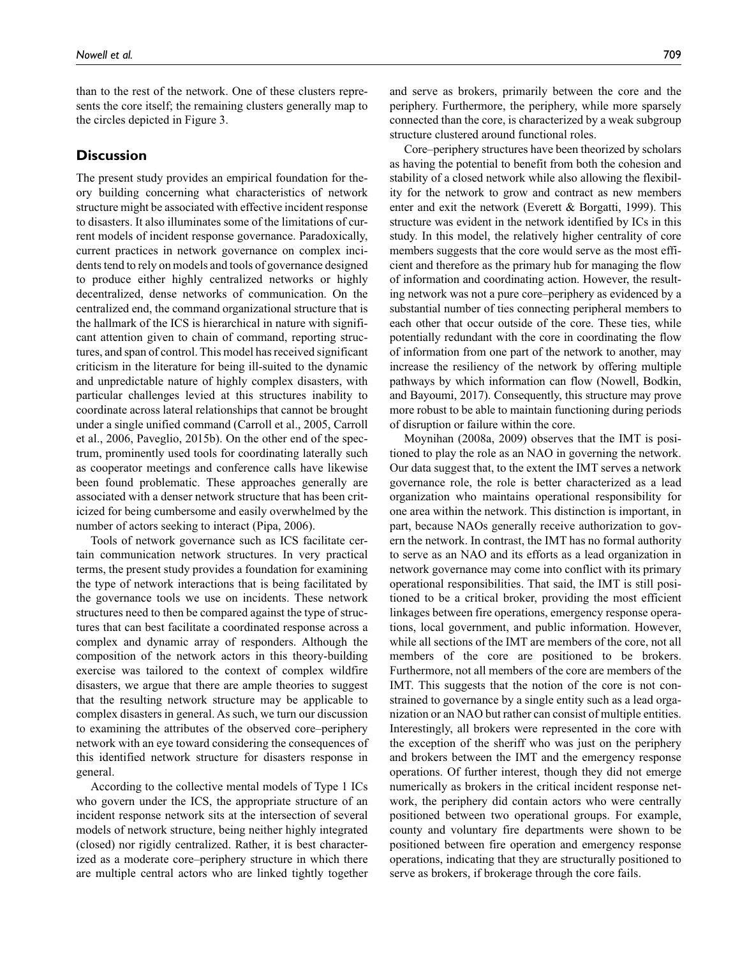than to the rest of the network. One of these clusters represents the core itself; the remaining clusters generally map to the circles depicted in Figure 3.

### **Discussion**

The present study provides an empirical foundation for theory building concerning what characteristics of network structure might be associated with effective incident response to disasters. It also illuminates some of the limitations of current models of incident response governance. Paradoxically, current practices in network governance on complex incidents tend to rely on models and tools of governance designed to produce either highly centralized networks or highly decentralized, dense networks of communication. On the centralized end, the command organizational structure that is the hallmark of the ICS is hierarchical in nature with significant attention given to chain of command, reporting structures, and span of control. This model has received significant criticism in the literature for being ill-suited to the dynamic and unpredictable nature of highly complex disasters, with particular challenges levied at this structures inability to coordinate across lateral relationships that cannot be brought under a single unified command (Carroll et al., 2005, Carroll et al., 2006, Paveglio, 2015b). On the other end of the spectrum, prominently used tools for coordinating laterally such as cooperator meetings and conference calls have likewise been found problematic. These approaches generally are associated with a denser network structure that has been criticized for being cumbersome and easily overwhelmed by the number of actors seeking to interact (Pipa, 2006).

Tools of network governance such as ICS facilitate certain communication network structures. In very practical terms, the present study provides a foundation for examining the type of network interactions that is being facilitated by the governance tools we use on incidents. These network structures need to then be compared against the type of structures that can best facilitate a coordinated response across a complex and dynamic array of responders. Although the composition of the network actors in this theory-building exercise was tailored to the context of complex wildfire disasters, we argue that there are ample theories to suggest that the resulting network structure may be applicable to complex disasters in general. As such, we turn our discussion to examining the attributes of the observed core–periphery network with an eye toward considering the consequences of this identified network structure for disasters response in general.

According to the collective mental models of Type 1 ICs who govern under the ICS, the appropriate structure of an incident response network sits at the intersection of several models of network structure, being neither highly integrated (closed) nor rigidly centralized. Rather, it is best characterized as a moderate core–periphery structure in which there are multiple central actors who are linked tightly together

and serve as brokers, primarily between the core and the periphery. Furthermore, the periphery, while more sparsely connected than the core, is characterized by a weak subgroup structure clustered around functional roles.

Core–periphery structures have been theorized by scholars as having the potential to benefit from both the cohesion and stability of a closed network while also allowing the flexibility for the network to grow and contract as new members enter and exit the network (Everett & Borgatti, 1999). This structure was evident in the network identified by ICs in this study. In this model, the relatively higher centrality of core members suggests that the core would serve as the most efficient and therefore as the primary hub for managing the flow of information and coordinating action. However, the resulting network was not a pure core–periphery as evidenced by a substantial number of ties connecting peripheral members to each other that occur outside of the core. These ties, while potentially redundant with the core in coordinating the flow of information from one part of the network to another, may increase the resiliency of the network by offering multiple pathways by which information can flow (Nowell, Bodkin, and Bayoumi, 2017). Consequently, this structure may prove more robust to be able to maintain functioning during periods of disruption or failure within the core.

Moynihan (2008a, 2009) observes that the IMT is positioned to play the role as an NAO in governing the network. Our data suggest that, to the extent the IMT serves a network governance role, the role is better characterized as a lead organization who maintains operational responsibility for one area within the network. This distinction is important, in part, because NAOs generally receive authorization to govern the network. In contrast, the IMT has no formal authority to serve as an NAO and its efforts as a lead organization in network governance may come into conflict with its primary operational responsibilities. That said, the IMT is still positioned to be a critical broker, providing the most efficient linkages between fire operations, emergency response operations, local government, and public information. However, while all sections of the IMT are members of the core, not all members of the core are positioned to be brokers. Furthermore, not all members of the core are members of the IMT. This suggests that the notion of the core is not constrained to governance by a single entity such as a lead organization or an NAO but rather can consist of multiple entities. Interestingly, all brokers were represented in the core with the exception of the sheriff who was just on the periphery and brokers between the IMT and the emergency response operations. Of further interest, though they did not emerge numerically as brokers in the critical incident response network, the periphery did contain actors who were centrally positioned between two operational groups. For example, county and voluntary fire departments were shown to be positioned between fire operation and emergency response operations, indicating that they are structurally positioned to serve as brokers, if brokerage through the core fails.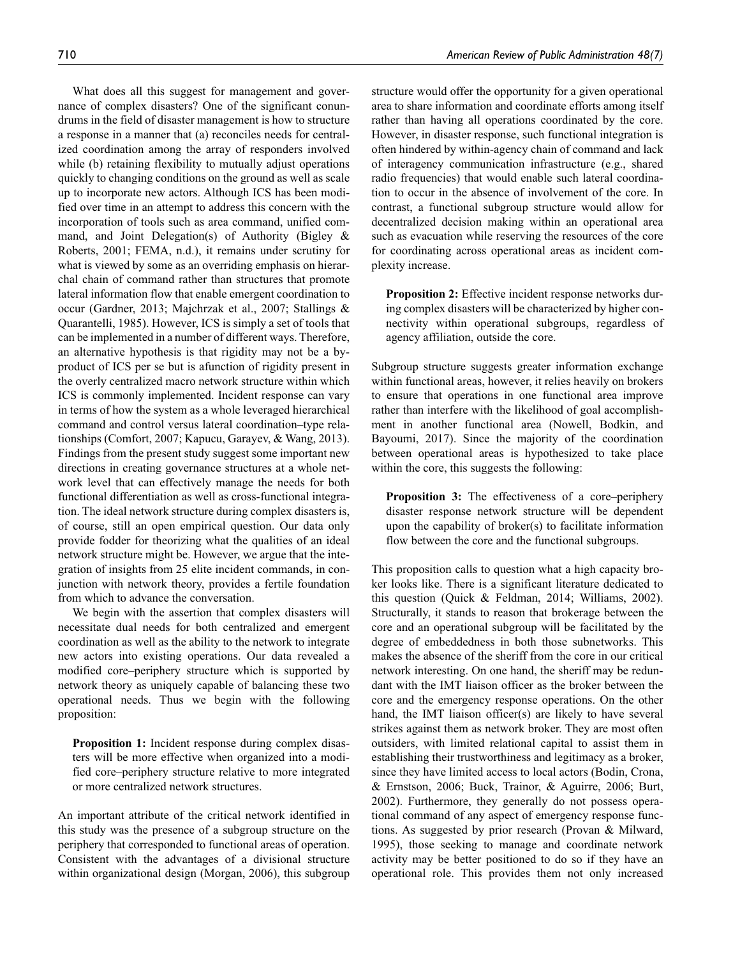What does all this suggest for management and governance of complex disasters? One of the significant conundrums in the field of disaster management is how to structure a response in a manner that (a) reconciles needs for centralized coordination among the array of responders involved while (b) retaining flexibility to mutually adjust operations quickly to changing conditions on the ground as well as scale up to incorporate new actors. Although ICS has been modified over time in an attempt to address this concern with the incorporation of tools such as area command, unified command, and Joint Delegation(s) of Authority (Bigley & Roberts, 2001; FEMA, n.d.), it remains under scrutiny for what is viewed by some as an overriding emphasis on hierarchal chain of command rather than structures that promote lateral information flow that enable emergent coordination to occur (Gardner, 2013; Majchrzak et al., 2007; Stallings & Quarantelli, 1985). However, ICS is simply a set of tools that can be implemented in a number of different ways. Therefore, an alternative hypothesis is that rigidity may not be a byproduct of ICS per se but is afunction of rigidity present in the overly centralized macro network structure within which ICS is commonly implemented. Incident response can vary in terms of how the system as a whole leveraged hierarchical command and control versus lateral coordination–type relationships (Comfort, 2007; Kapucu, Garayev, & Wang, 2013). Findings from the present study suggest some important new directions in creating governance structures at a whole network level that can effectively manage the needs for both functional differentiation as well as cross-functional integration. The ideal network structure during complex disasters is, of course, still an open empirical question. Our data only provide fodder for theorizing what the qualities of an ideal network structure might be. However, we argue that the integration of insights from 25 elite incident commands, in conjunction with network theory, provides a fertile foundation from which to advance the conversation.

We begin with the assertion that complex disasters will necessitate dual needs for both centralized and emergent coordination as well as the ability to the network to integrate new actors into existing operations. Our data revealed a modified core–periphery structure which is supported by network theory as uniquely capable of balancing these two operational needs. Thus we begin with the following proposition:

**Proposition 1:** Incident response during complex disasters will be more effective when organized into a modified core–periphery structure relative to more integrated or more centralized network structures.

An important attribute of the critical network identified in this study was the presence of a subgroup structure on the periphery that corresponded to functional areas of operation. Consistent with the advantages of a divisional structure within organizational design (Morgan, 2006), this subgroup

structure would offer the opportunity for a given operational area to share information and coordinate efforts among itself rather than having all operations coordinated by the core. However, in disaster response, such functional integration is often hindered by within-agency chain of command and lack of interagency communication infrastructure (e.g., shared radio frequencies) that would enable such lateral coordination to occur in the absence of involvement of the core. In contrast, a functional subgroup structure would allow for decentralized decision making within an operational area such as evacuation while reserving the resources of the core for coordinating across operational areas as incident complexity increase.

**Proposition 2:** Effective incident response networks during complex disasters will be characterized by higher connectivity within operational subgroups, regardless of agency affiliation, outside the core.

Subgroup structure suggests greater information exchange within functional areas, however, it relies heavily on brokers to ensure that operations in one functional area improve rather than interfere with the likelihood of goal accomplishment in another functional area (Nowell, Bodkin, and Bayoumi, 2017). Since the majority of the coordination between operational areas is hypothesized to take place within the core, this suggests the following:

**Proposition 3:** The effectiveness of a core–periphery disaster response network structure will be dependent upon the capability of broker(s) to facilitate information flow between the core and the functional subgroups.

This proposition calls to question what a high capacity broker looks like. There is a significant literature dedicated to this question (Quick & Feldman, 2014; Williams, 2002). Structurally, it stands to reason that brokerage between the core and an operational subgroup will be facilitated by the degree of embeddedness in both those subnetworks. This makes the absence of the sheriff from the core in our critical network interesting. On one hand, the sheriff may be redundant with the IMT liaison officer as the broker between the core and the emergency response operations. On the other hand, the IMT liaison officer(s) are likely to have several strikes against them as network broker. They are most often outsiders, with limited relational capital to assist them in establishing their trustworthiness and legitimacy as a broker, since they have limited access to local actors (Bodin, Crona, & Ernstson, 2006; Buck, Trainor, & Aguirre, 2006; Burt, 2002). Furthermore, they generally do not possess operational command of any aspect of emergency response functions. As suggested by prior research (Provan & Milward, 1995), those seeking to manage and coordinate network activity may be better positioned to do so if they have an operational role. This provides them not only increased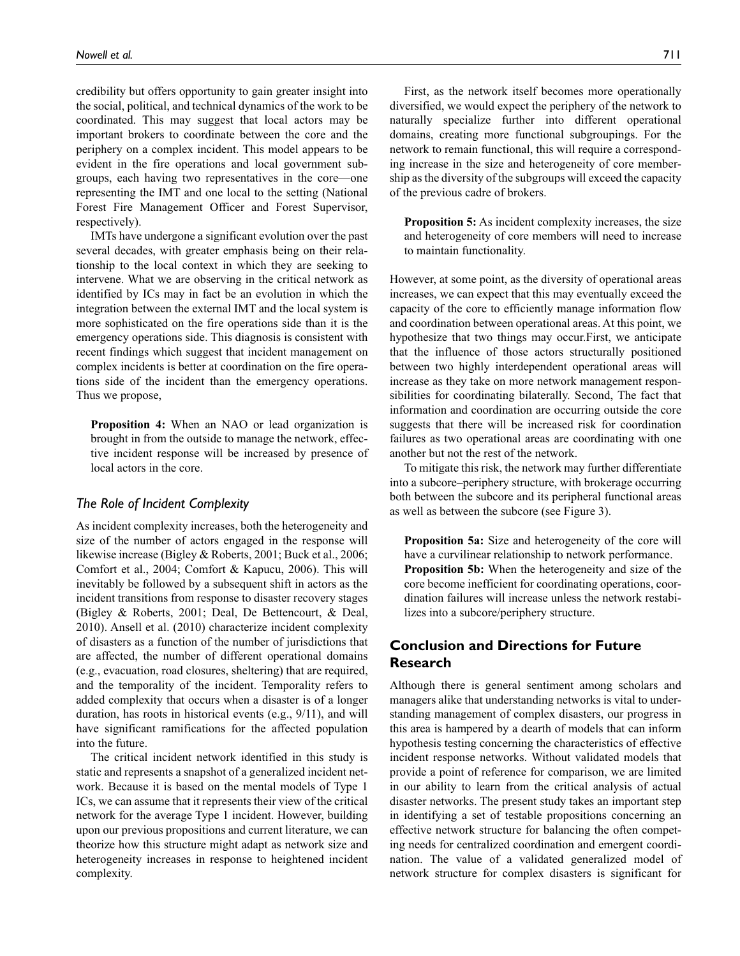credibility but offers opportunity to gain greater insight into the social, political, and technical dynamics of the work to be coordinated. This may suggest that local actors may be important brokers to coordinate between the core and the periphery on a complex incident. This model appears to be evident in the fire operations and local government subgroups, each having two representatives in the core—one representing the IMT and one local to the setting (National Forest Fire Management Officer and Forest Supervisor, respectively).

IMTs have undergone a significant evolution over the past several decades, with greater emphasis being on their relationship to the local context in which they are seeking to intervene. What we are observing in the critical network as identified by ICs may in fact be an evolution in which the integration between the external IMT and the local system is more sophisticated on the fire operations side than it is the emergency operations side. This diagnosis is consistent with recent findings which suggest that incident management on complex incidents is better at coordination on the fire operations side of the incident than the emergency operations. Thus we propose,

**Proposition 4:** When an NAO or lead organization is brought in from the outside to manage the network, effective incident response will be increased by presence of local actors in the core.

### *The Role of Incident Complexity*

As incident complexity increases, both the heterogeneity and size of the number of actors engaged in the response will likewise increase (Bigley & Roberts, 2001; Buck et al., 2006; Comfort et al., 2004; Comfort & Kapucu, 2006). This will inevitably be followed by a subsequent shift in actors as the incident transitions from response to disaster recovery stages (Bigley & Roberts, 2001; Deal, De Bettencourt, & Deal, 2010). Ansell et al. (2010) characterize incident complexity of disasters as a function of the number of jurisdictions that are affected, the number of different operational domains (e.g., evacuation, road closures, sheltering) that are required, and the temporality of the incident. Temporality refers to added complexity that occurs when a disaster is of a longer duration, has roots in historical events (e.g., 9/11), and will have significant ramifications for the affected population into the future.

The critical incident network identified in this study is static and represents a snapshot of a generalized incident network. Because it is based on the mental models of Type 1 ICs, we can assume that it represents their view of the critical network for the average Type 1 incident. However, building upon our previous propositions and current literature, we can theorize how this structure might adapt as network size and heterogeneity increases in response to heightened incident complexity.

First, as the network itself becomes more operationally diversified, we would expect the periphery of the network to naturally specialize further into different operational domains, creating more functional subgroupings. For the network to remain functional, this will require a corresponding increase in the size and heterogeneity of core membership as the diversity of the subgroups will exceed the capacity of the previous cadre of brokers.

**Proposition 5:** As incident complexity increases, the size and heterogeneity of core members will need to increase to maintain functionality.

However, at some point, as the diversity of operational areas increases, we can expect that this may eventually exceed the capacity of the core to efficiently manage information flow and coordination between operational areas. At this point, we hypothesize that two things may occur.First, we anticipate that the influence of those actors structurally positioned between two highly interdependent operational areas will increase as they take on more network management responsibilities for coordinating bilaterally. Second, The fact that information and coordination are occurring outside the core suggests that there will be increased risk for coordination failures as two operational areas are coordinating with one another but not the rest of the network.

To mitigate this risk, the network may further differentiate into a subcore–periphery structure, with brokerage occurring both between the subcore and its peripheral functional areas as well as between the subcore (see Figure 3).

**Proposition 5a:** Size and heterogeneity of the core will have a curvilinear relationship to network performance. **Proposition 5b:** When the heterogeneity and size of the core become inefficient for coordinating operations, coordination failures will increase unless the network restabilizes into a subcore/periphery structure.

### **Conclusion and Directions for Future Research**

Although there is general sentiment among scholars and managers alike that understanding networks is vital to understanding management of complex disasters, our progress in this area is hampered by a dearth of models that can inform hypothesis testing concerning the characteristics of effective incident response networks. Without validated models that provide a point of reference for comparison, we are limited in our ability to learn from the critical analysis of actual disaster networks. The present study takes an important step in identifying a set of testable propositions concerning an effective network structure for balancing the often competing needs for centralized coordination and emergent coordination. The value of a validated generalized model of network structure for complex disasters is significant for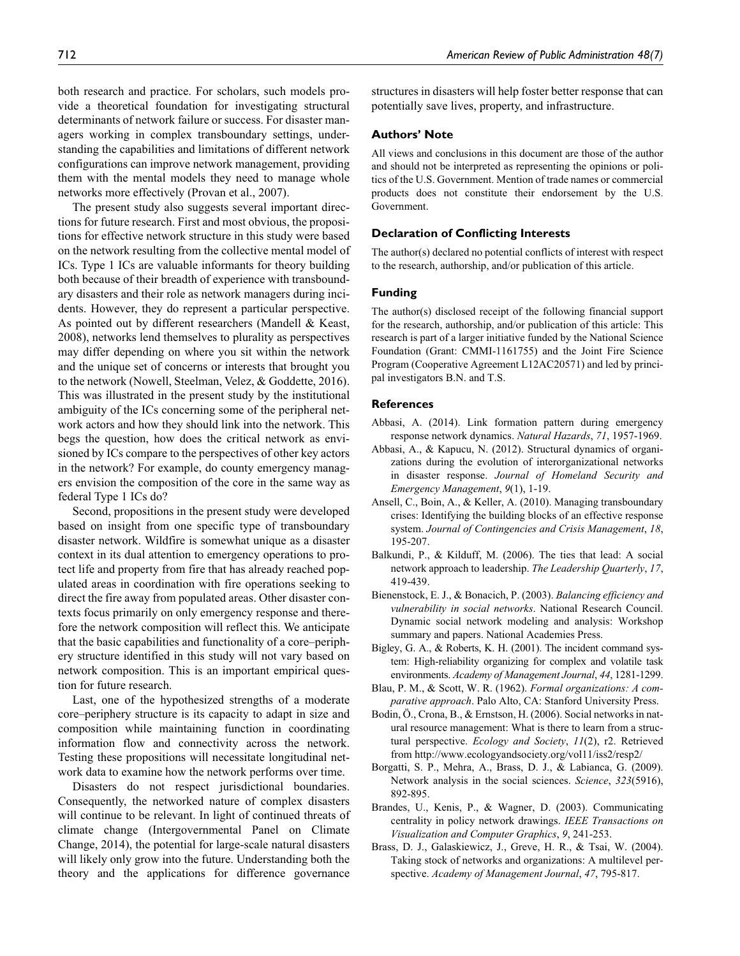networks more effectively (Provan et al., 2007). The present study also suggests several important directions for future research. First and most obvious, the propositions for effective network structure in this study were based on the network resulting from the collective mental model of ICs. Type 1 ICs are valuable informants for theory building both because of their breadth of experience with transboundary disasters and their role as network managers during incidents. However, they do represent a particular perspective. As pointed out by different researchers (Mandell & Keast, 2008), networks lend themselves to plurality as perspectives may differ depending on where you sit within the network and the unique set of concerns or interests that brought you to the network (Nowell, Steelman, Velez, & Goddette, 2016). This was illustrated in the present study by the institutional ambiguity of the ICs concerning some of the peripheral network actors and how they should link into the network. This begs the question, how does the critical network as envisioned by ICs compare to the perspectives of other key actors in the network? For example, do county emergency managers envision the composition of the core in the same way as federal Type 1 ICs do?

Second, propositions in the present study were developed based on insight from one specific type of transboundary disaster network. Wildfire is somewhat unique as a disaster context in its dual attention to emergency operations to protect life and property from fire that has already reached populated areas in coordination with fire operations seeking to direct the fire away from populated areas. Other disaster contexts focus primarily on only emergency response and therefore the network composition will reflect this. We anticipate that the basic capabilities and functionality of a core–periphery structure identified in this study will not vary based on network composition. This is an important empirical question for future research.

Last, one of the hypothesized strengths of a moderate core–periphery structure is its capacity to adapt in size and composition while maintaining function in coordinating information flow and connectivity across the network. Testing these propositions will necessitate longitudinal network data to examine how the network performs over time.

Disasters do not respect jurisdictional boundaries. Consequently, the networked nature of complex disasters will continue to be relevant. In light of continued threats of climate change (Intergovernmental Panel on Climate Change, 2014), the potential for large-scale natural disasters will likely only grow into the future. Understanding both the theory and the applications for difference governance

structures in disasters will help foster better response that can potentially save lives, property, and infrastructure.

#### **Authors' Note**

All views and conclusions in this document are those of the author and should not be interpreted as representing the opinions or politics of the U.S. Government. Mention of trade names or commercial products does not constitute their endorsement by the U.S. Government.

#### **Declaration of Conflicting Interests**

The author(s) declared no potential conflicts of interest with respect to the research, authorship, and/or publication of this article.

#### **Funding**

The author(s) disclosed receipt of the following financial support for the research, authorship, and/or publication of this article: This research is part of a larger initiative funded by the National Science Foundation (Grant: CMMI-1161755) and the Joint Fire Science Program (Cooperative Agreement L12AC20571) and led by principal investigators B.N. and T.S.

#### **References**

- Abbasi, A. (2014). Link formation pattern during emergency response network dynamics. *Natural Hazards*, *71*, 1957-1969.
- Abbasi, A., & Kapucu, N. (2012). Structural dynamics of organizations during the evolution of interorganizational networks in disaster response. *Journal of Homeland Security and Emergency Management*, *9*(1), 1-19.
- Ansell, C., Boin, A., & Keller, A. (2010). Managing transboundary crises: Identifying the building blocks of an effective response system. *Journal of Contingencies and Crisis Management*, *18*, 195-207.
- Balkundi, P., & Kilduff, M. (2006). The ties that lead: A social network approach to leadership. *The Leadership Quarterly*, *17*, 419-439.
- Bienenstock, E. J., & Bonacich, P. (2003). *Balancing efficiency and vulnerability in social networks*. National Research Council. Dynamic social network modeling and analysis: Workshop summary and papers. National Academies Press.
- Bigley, G. A., & Roberts, K. H. (2001). The incident command system: High-reliability organizing for complex and volatile task environments. *Academy of Management Journal*, *44*, 1281-1299.
- Blau, P. M., & Scott, W. R. (1962). *Formal organizations: A comparative approach*. Palo Alto, CA: Stanford University Press.
- Bodin, Ö., Crona, B., & Ernstson, H. (2006). Social networks in natural resource management: What is there to learn from a structural perspective. *Ecology and Society*, *11*(2), r2. Retrieved from<http://www.ecologyandsociety.org/vol11/iss2/resp2/>
- Borgatti, S. P., Mehra, A., Brass, D. J., & Labianca, G. (2009). Network analysis in the social sciences. *Science*, *323*(5916), 892-895.
- Brandes, U., Kenis, P., & Wagner, D. (2003). Communicating centrality in policy network drawings. *IEEE Transactions on Visualization and Computer Graphics*, *9*, 241-253.
- Brass, D. J., Galaskiewicz, J., Greve, H. R., & Tsai, W. (2004). Taking stock of networks and organizations: A multilevel perspective. *Academy of Management Journal*, *47*, 795-817.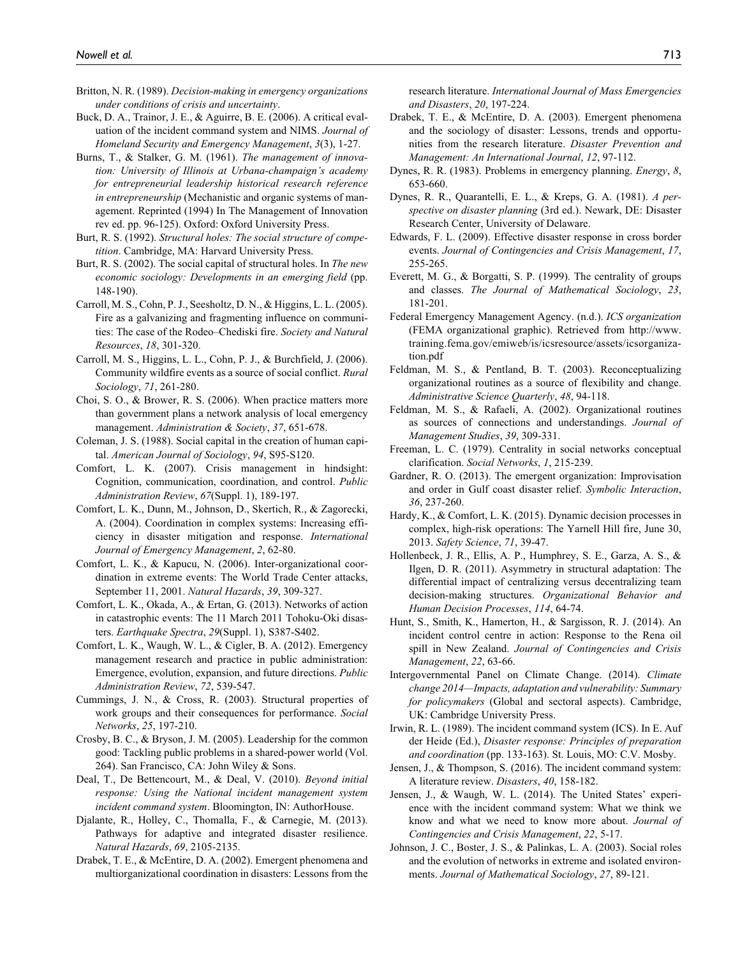- Britton, N. R. (1989). *Decision-making in emergency organizations under conditions of crisis and uncertainty*.
- Buck, D. A., Trainor, J. E., & Aguirre, B. E. (2006). A critical evaluation of the incident command system and NIMS. *Journal of Homeland Security and Emergency Management*, *3*(3), 1-27.
- Burns, T., & Stalker, G. M. (1961). *The management of innovation: University of Illinois at Urbana-champaign's academy for entrepreneurial leadership historical research reference in entrepreneurship* (Mechanistic and organic systems of management. Reprinted (1994) In The Management of Innovation rev ed. pp. 96-125). Oxford: Oxford University Press.
- Burt, R. S. (1992). *Structural holes: The social structure of competition*. Cambridge, MA: Harvard University Press.
- Burt, R. S. (2002). The social capital of structural holes. In *The new economic sociology: Developments in an emerging field* (pp. 148-190).
- Carroll, M. S., Cohn, P. J., Seesholtz, D. N., & Higgins, L. L. (2005). Fire as a galvanizing and fragmenting influence on communities: The case of the Rodeo–Chediski fire. *Society and Natural Resources*, *18*, 301-320.
- Carroll, M. S., Higgins, L. L., Cohn, P. J., & Burchfield, J. (2006). Community wildfire events as a source of social conflict. *Rural Sociology*, *71*, 261-280.
- Choi, S. O., & Brower, R. S. (2006). When practice matters more than government plans a network analysis of local emergency management. *Administration & Society*, *37*, 651-678.
- Coleman, J. S. (1988). Social capital in the creation of human capital. *American Journal of Sociology*, *94*, S95-S120.
- Comfort, L. K. (2007). Crisis management in hindsight: Cognition, communication, coordination, and control. *Public Administration Review*, *67*(Suppl. 1), 189-197.
- Comfort, L. K., Dunn, M., Johnson, D., Skertich, R., & Zagorecki, A. (2004). Coordination in complex systems: Increasing efficiency in disaster mitigation and response. *International Journal of Emergency Management*, *2*, 62-80.
- Comfort, L. K., & Kapucu, N. (2006). Inter-organizational coordination in extreme events: The World Trade Center attacks, September 11, 2001. *Natural Hazards*, *39*, 309-327.
- Comfort, L. K., Okada, A., & Ertan, G. (2013). Networks of action in catastrophic events: The 11 March 2011 Tohoku-Oki disasters. *Earthquake Spectra*, *29*(Suppl. 1), S387-S402.
- Comfort, L. K., Waugh, W. L., & Cigler, B. A. (2012). Emergency management research and practice in public administration: Emergence, evolution, expansion, and future directions. *Public Administration Review*, *72*, 539-547.
- Cummings, J. N., & Cross, R. (2003). Structural properties of work groups and their consequences for performance. *Social Networks*, *25*, 197-210.
- Crosby, B. C., & Bryson, J. M. (2005). Leadership for the common good: Tackling public problems in a shared-power world (Vol. 264). San Francisco, CA: John Wiley & Sons.
- Deal, T., De Bettencourt, M., & Deal, V. (2010). *Beyond initial response: Using the National incident management system incident command system*. Bloomington, IN: AuthorHouse.
- Djalante, R., Holley, C., Thomalla, F., & Carnegie, M. (2013). Pathways for adaptive and integrated disaster resilience. *Natural Hazards*, *69*, 2105-2135.
- Drabek, T. E., & McEntire, D. A. (2002). Emergent phenomena and multiorganizational coordination in disasters: Lessons from the

research literature. *International Journal of Mass Emergencies and Disasters*, *20*, 197-224.

- Drabek, T. E., & McEntire, D. A. (2003). Emergent phenomena and the sociology of disaster: Lessons, trends and opportunities from the research literature. *Disaster Prevention and Management: An International Journal*, *12*, 97-112.
- Dynes, R. R. (1983). Problems in emergency planning. *Energy*, *8*, 653-660.
- Dynes, R. R., Quarantelli, E. L., & Kreps, G. A. (1981). *A perspective on disaster planning* (3rd ed.). Newark, DE: Disaster Research Center, University of Delaware.
- Edwards, F. L. (2009). Effective disaster response in cross border events. *Journal of Contingencies and Crisis Management*, *17*, 255-265.
- Everett, M. G., & Borgatti, S. P. (1999). The centrality of groups and classes. *The Journal of Mathematical Sociology*, *23*, 181-201.
- Federal Emergency Management Agency. (n.d.). *ICS organization* (FEMA organizational graphic). Retrieved from [http://www.](http://www.training.fema.gov/emiweb/is/icsresource/assets/icsorganization.pdf) [training.fema.gov/emiweb/is/icsresource/assets/icsorganiza](http://www.training.fema.gov/emiweb/is/icsresource/assets/icsorganization.pdf)[tion.pdf](http://www.training.fema.gov/emiweb/is/icsresource/assets/icsorganization.pdf)
- Feldman, M. S., & Pentland, B. T. (2003). Reconceptualizing organizational routines as a source of flexibility and change. *Administrative Science Quarterly*, *48*, 94-118.
- Feldman, M. S., & Rafaeli, A. (2002). Organizational routines as sources of connections and understandings. *Journal of Management Studies*, *39*, 309-331.
- Freeman, L. C. (1979). Centrality in social networks conceptual clarification. *Social Networks*, *1*, 215-239.
- Gardner, R. O. (2013). The emergent organization: Improvisation and order in Gulf coast disaster relief. *Symbolic Interaction*, *36*, 237-260.
- Hardy, K., & Comfort, L. K. (2015). Dynamic decision processes in complex, high-risk operations: The Yarnell Hill fire, June 30, 2013. *Safety Science*, *71*, 39-47.
- Hollenbeck, J. R., Ellis, A. P., Humphrey, S. E., Garza, A. S., & Ilgen, D. R. (2011). Asymmetry in structural adaptation: The differential impact of centralizing versus decentralizing team decision-making structures. *Organizational Behavior and Human Decision Processes*, *114*, 64-74.
- Hunt, S., Smith, K., Hamerton, H., & Sargisson, R. J. (2014). An incident control centre in action: Response to the Rena oil spill in New Zealand. *Journal of Contingencies and Crisis Management*, *22*, 63-66.
- Intergovernmental Panel on Climate Change. (2014). *Climate change 2014—Impacts, adaptation and vulnerability: Summary for policymakers* (Global and sectoral aspects). Cambridge, UK: Cambridge University Press.
- Irwin, R. L. (1989). The incident command system (ICS). In E. Auf der Heide (Ed.), *Disaster response: Principles of preparation and coordination* (pp. 133-163). St. Louis, MO: C.V. Mosby.
- Jensen, J., & Thompson, S. (2016). The incident command system: A literature review. *Disasters*, *40*, 158-182.
- Jensen, J., & Waugh, W. L. (2014). The United States' experience with the incident command system: What we think we know and what we need to know more about. *Journal of Contingencies and Crisis Management*, *22*, 5-17.
- Johnson, J. C., Boster, J. S., & Palinkas, L. A. (2003). Social roles and the evolution of networks in extreme and isolated environments. *Journal of Mathematical Sociology*, *27*, 89-121.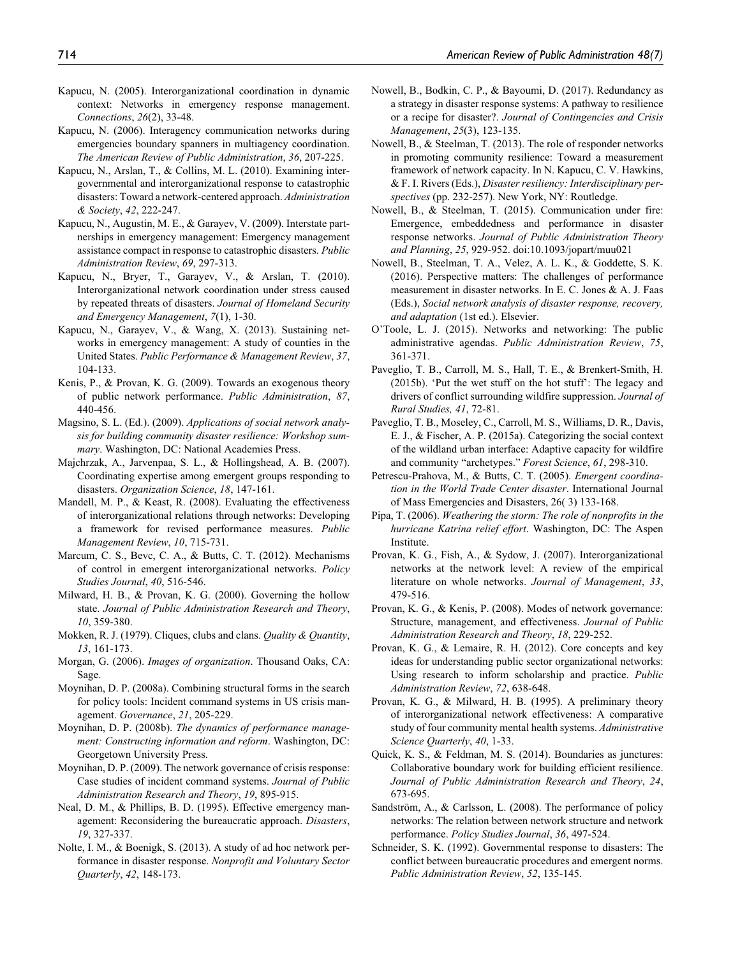- Kapucu, N. (2005). Interorganizational coordination in dynamic context: Networks in emergency response management. *Connections*, *26*(2), 33-48.
- Kapucu, N. (2006). Interagency communication networks during emergencies boundary spanners in multiagency coordination. *The American Review of Public Administration*, *36*, 207-225.
- Kapucu, N., Arslan, T., & Collins, M. L. (2010). Examining intergovernmental and interorganizational response to catastrophic disasters: Toward a network-centered approach. *Administration & Society*, *42*, 222-247.
- Kapucu, N., Augustin, M. E., & Garayev, V. (2009). Interstate partnerships in emergency management: Emergency management assistance compact in response to catastrophic disasters. *Public Administration Review*, *69*, 297-313.
- Kapucu, N., Bryer, T., Garayev, V., & Arslan, T. (2010). Interorganizational network coordination under stress caused by repeated threats of disasters. *Journal of Homeland Security and Emergency Management*, *7*(1), 1-30.
- Kapucu, N., Garayev, V., & Wang, X. (2013). Sustaining networks in emergency management: A study of counties in the United States. *Public Performance & Management Review*, *37*, 104-133.
- Kenis, P., & Provan, K. G. (2009). Towards an exogenous theory of public network performance. *Public Administration*, *87*, 440-456.
- Magsino, S. L. (Ed.). (2009). *Applications of social network analysis for building community disaster resilience: Workshop summary*. Washington, DC: National Academies Press.
- Majchrzak, A., Jarvenpaa, S. L., & Hollingshead, A. B. (2007). Coordinating expertise among emergent groups responding to disasters. *Organization Science*, *18*, 147-161.
- Mandell, M. P., & Keast, R. (2008). Evaluating the effectiveness of interorganizational relations through networks: Developing a framework for revised performance measures. *Public Management Review*, *10*, 715-731.
- Marcum, C. S., Bevc, C. A., & Butts, C. T. (2012). Mechanisms of control in emergent interorganizational networks. *Policy Studies Journal*, *40*, 516-546.
- Milward, H. B., & Provan, K. G. (2000). Governing the hollow state. *Journal of Public Administration Research and Theory*, *10*, 359-380.
- Mokken, R. J. (1979). Cliques, clubs and clans. *Quality & Quantity*, *13*, 161-173.
- Morgan, G. (2006). *Images of organization*. Thousand Oaks, CA: Sage.
- Moynihan, D. P. (2008a). Combining structural forms in the search for policy tools: Incident command systems in US crisis management. *Governance*, *21*, 205-229.
- Moynihan, D. P. (2008b). *The dynamics of performance management: Constructing information and reform*. Washington, DC: Georgetown University Press.
- Moynihan, D. P. (2009). The network governance of crisis response: Case studies of incident command systems. *Journal of Public Administration Research and Theory*, *19*, 895-915.
- Neal, D. M., & Phillips, B. D. (1995). Effective emergency management: Reconsidering the bureaucratic approach. *Disasters*, *19*, 327-337.
- Nolte, I. M., & Boenigk, S. (2013). A study of ad hoc network performance in disaster response. *Nonprofit and Voluntary Sector Quarterly*, *42*, 148-173.
- Nowell, B., Bodkin, C. P., & Bayoumi, D. (2017). Redundancy as a strategy in disaster response systems: A pathway to resilience or a recipe for disaster?. *Journal of Contingencies and Crisis Management*, *25*(3), 123-135.
- Nowell, B., & Steelman, T. (2013). The role of responder networks in promoting community resilience: Toward a measurement framework of network capacity. In N. Kapucu, C. V. Hawkins, & F. I. Rivers (Eds.), *Disaster resiliency: Interdisciplinary perspectives* (pp. 232-257). New York, NY: Routledge.
- Nowell, B., & Steelman, T. (2015). Communication under fire: Emergence, embeddedness and performance in disaster response networks. *Journal of Public Administration Theory and Planning*, *25*, 929-952. doi:10.1093/jopart/muu021
- Nowell, B., Steelman, T. A., Velez, A. L. K., & Goddette, S. K. (2016). Perspective matters: The challenges of performance measurement in disaster networks. In E. C. Jones & A. J. Faas (Eds.), *Social network analysis of disaster response, recovery, and adaptation* (1st ed.). Elsevier.
- O'Toole, L. J. (2015). Networks and networking: The public administrative agendas. *Public Administration Review*, *75*, 361-371.
- Paveglio, T. B., Carroll, M. S., Hall, T. E., & Brenkert-Smith, H. (2015b). 'Put the wet stuff on the hot stuff': The legacy and drivers of conflict surrounding wildfire suppression. *Journal of Rural Studies, 41*, 72-81.
- Paveglio, T. B., Moseley, C., Carroll, M. S., Williams, D. R., Davis, E. J., & Fischer, A. P. (2015a). Categorizing the social context of the wildland urban interface: Adaptive capacity for wildfire and community "archetypes." *Forest Science*, *61*, 298-310.
- Petrescu-Prahova, M., & Butts, C. T. (2005). *Emergent coordination in the World Trade Center disaster*. International Journal of Mass Emergencies and Disasters, 26( 3) 133-168.
- Pipa, T. (2006). *Weathering the storm: The role of nonprofits in the hurricane Katrina relief effort*. Washington, DC: The Aspen Institute.
- Provan, K. G., Fish, A., & Sydow, J. (2007). Interorganizational networks at the network level: A review of the empirical literature on whole networks. *Journal of Management*, *33*, 479-516.
- Provan, K. G., & Kenis, P. (2008). Modes of network governance: Structure, management, and effectiveness. *Journal of Public Administration Research and Theory*, *18*, 229-252.
- Provan, K. G., & Lemaire, R. H. (2012). Core concepts and key ideas for understanding public sector organizational networks: Using research to inform scholarship and practice. *Public Administration Review*, *72*, 638-648.
- Provan, K. G., & Milward, H. B. (1995). A preliminary theory of interorganizational network effectiveness: A comparative study of four community mental health systems. *Administrative Science Quarterly*, *40*, 1-33.
- Quick, K. S., & Feldman, M. S. (2014). Boundaries as junctures: Collaborative boundary work for building efficient resilience. *Journal of Public Administration Research and Theory*, *24*, 673-695.
- Sandström, A., & Carlsson, L. (2008). The performance of policy networks: The relation between network structure and network performance. *Policy Studies Journal*, *36*, 497-524.
- Schneider, S. K. (1992). Governmental response to disasters: The conflict between bureaucratic procedures and emergent norms. *Public Administration Review*, *52*, 135-145.